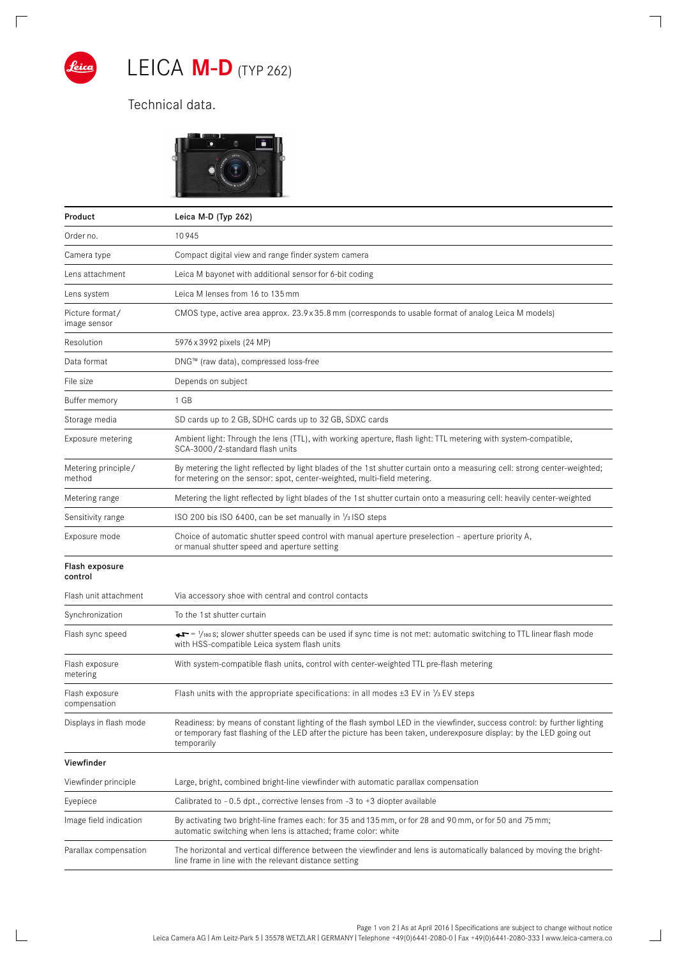

 $\overline{\Gamma}$ 

 $\mathbb{R}$ 

## LEICA **M-D** (TYP 262)

## Technical data.



| Product                         | Leica M-D (Typ 262)                                                                                                                                                                                                                                            |
|---------------------------------|----------------------------------------------------------------------------------------------------------------------------------------------------------------------------------------------------------------------------------------------------------------|
| Order no.                       | 10945                                                                                                                                                                                                                                                          |
| Camera type                     | Compact digital view and range finder system camera                                                                                                                                                                                                            |
| Lens attachment                 | Leica M bayonet with additional sensor for 6-bit coding                                                                                                                                                                                                        |
| Lens system                     | Leica M lenses from 16 to 135 mm                                                                                                                                                                                                                               |
| Picture format/<br>image sensor | CMOS type, active area approx. 23.9x35.8 mm (corresponds to usable format of analog Leica M models)                                                                                                                                                            |
| Resolution                      | 5976 x 3992 pixels (24 MP)                                                                                                                                                                                                                                     |
| Data format                     | DNG™ (raw data), compressed loss-free                                                                                                                                                                                                                          |
| File size                       | Depends on subject                                                                                                                                                                                                                                             |
| Buffer memory                   | 1 GB                                                                                                                                                                                                                                                           |
| Storage media                   | SD cards up to 2 GB, SDHC cards up to 32 GB, SDXC cards                                                                                                                                                                                                        |
| Exposure metering               | Ambient light: Through the lens (TTL), with working aperture, flash light: TTL metering with system-compatible,<br>SCA-3000/2-standard flash units                                                                                                             |
| Metering principle/<br>method   | By metering the light reflected by light blades of the 1st shutter curtain onto a measuring cell: strong center-weighted;<br>for metering on the sensor: spot, center-weighted, multi-field metering.                                                          |
| Metering range                  | Metering the light reflected by light blades of the 1st shutter curtain onto a measuring cell: heavily center-weighted                                                                                                                                         |
| Sensitivity range               | ISO 200 bis ISO 6400, can be set manually in 1/3 ISO steps                                                                                                                                                                                                     |
| Exposure mode                   | Choice of automatic shutter speed control with manual aperture preselection - aperture priority A,<br>or manual shutter speed and aperture setting                                                                                                             |
| Flash exposure<br>control       |                                                                                                                                                                                                                                                                |
| Flash unit attachment           | Via accessory shoe with central and control contacts                                                                                                                                                                                                           |
| Synchronization                 | To the 1st shutter curtain                                                                                                                                                                                                                                     |
| Flash sync speed                | → T = 1/180 s; slower shutter speeds can be used if sync time is not met: automatic switching to TTL linear flash mode<br>with HSS-compatible Leica system flash units                                                                                         |
| Flash exposure<br>metering      | With system-compatible flash units, control with center-weighted TTL pre-flash metering                                                                                                                                                                        |
| Flash exposure<br>compensation  | Flash units with the appropriate specifications: in all modes $\pm$ 3 EV in $\frac{1}{3}$ EV steps                                                                                                                                                             |
| Displays in flash mode          | Readiness: by means of constant lighting of the flash symbol LED in the viewfinder, success control: by further lighting<br>or temporary fast flashing of the LED after the picture has been taken, underexposure display: by the LED going out<br>temporarily |
| Viewfinder                      |                                                                                                                                                                                                                                                                |
| Viewfinder principle            | Large, bright, combined bright-line viewfinder with automatic parallax compensation                                                                                                                                                                            |
| Eyepiece                        | Calibrated to $-0.5$ dpt., corrective lenses from $-3$ to $+3$ diopter available                                                                                                                                                                               |
| Image field indication          | By activating two bright-line frames each: for 35 and 135 mm, or for 28 and 90 mm, or for 50 and 75 mm;<br>automatic switching when lens is attached; frame color: white                                                                                       |
| Parallax compensation           | The horizontal and vertical difference between the viewfinder and lens is automatically balanced by moving the bright-<br>line frame in line with the relevant distance setting                                                                                |

 $\overline{\phantom{a}}$ 

 $\overline{\phantom{0}}$